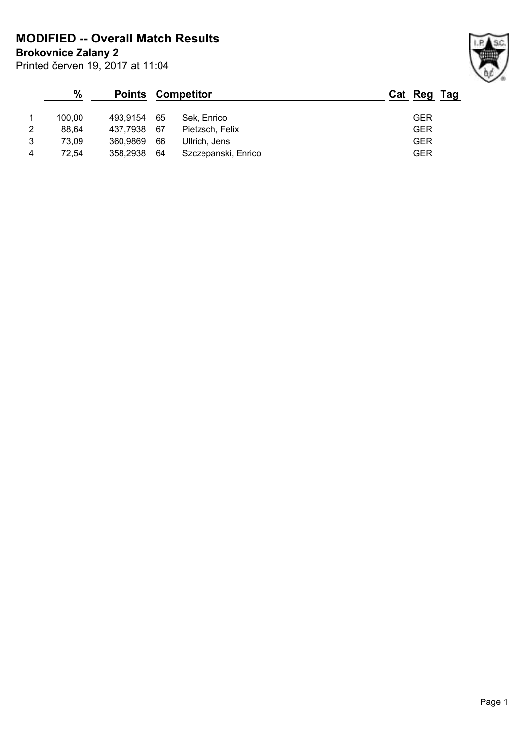**MODIFIED -- Overall Match Results**

**Brokovnice Zalany 2**

|                | $\frac{0}{0}$ |          |      | <b>Points Competitor</b> | Cat Reg Tag |
|----------------|---------------|----------|------|--------------------------|-------------|
|                | 100.00        | 493.9154 | - 65 | Sek. Enrico              | GER         |
| $\overline{2}$ | 88.64         | 437.7938 | - 67 | Pietzsch, Felix          | <b>GER</b>  |
| 3              | 73.09         | 360.9869 | 66   | Ullrich, Jens            | <b>GER</b>  |
| 4              | 72.54         | 358,2938 | 64   | Szczepanski, Enrico      | <b>GER</b>  |

Printed červen 19, 2017 at 11:04

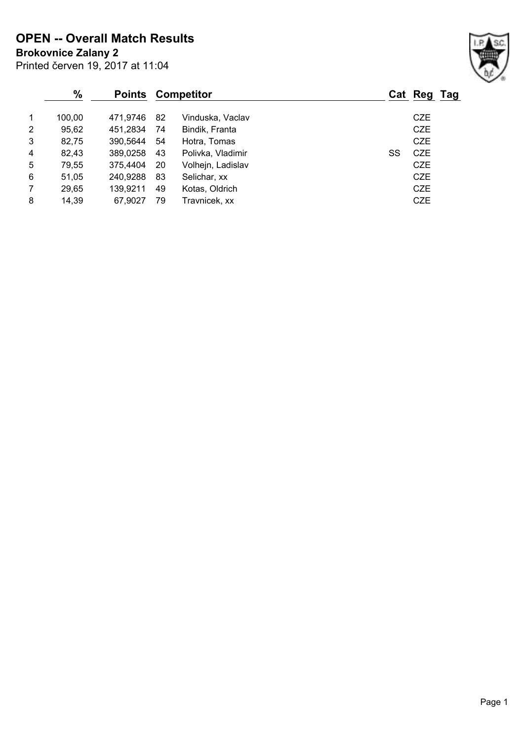**Brokovnice Zalany 2 OPEN -- Overall Match Results**

|                | $\frac{9}{6}$<br><b>Points</b> |          |     | <b>Competitor</b> |    | Cat Reg Tag |  |
|----------------|--------------------------------|----------|-----|-------------------|----|-------------|--|
| $\mathbf 1$    | 100,00                         | 471.9746 | 82  | Vinduska, Vaclav  |    | <b>CZE</b>  |  |
| 2              | 95,62                          | 451,2834 | 74  | Bindik, Franta    |    | CZE         |  |
| 3              | 82,75                          | 390,5644 | 54  | Hotra, Tomas      |    | <b>CZE</b>  |  |
| $\overline{4}$ | 82,43                          | 389,0258 | 43  | Polivka, Vladimir | SS | <b>CZE</b>  |  |
| 5              | 79.55                          | 375.4404 | -20 | Volhejn, Ladislav |    | CZE         |  |
| 6              | 51,05                          | 240,9288 | 83  | Selichar, xx      |    | <b>CZE</b>  |  |
| $\overline{7}$ | 29,65                          | 139,9211 | 49  | Kotas, Oldrich    |    | <b>CZE</b>  |  |
| 8              | 14,39                          | 67.9027  | 79  | Travnicek, xx     |    | <b>CZE</b>  |  |

Printed červen 19, 2017 at 11:04

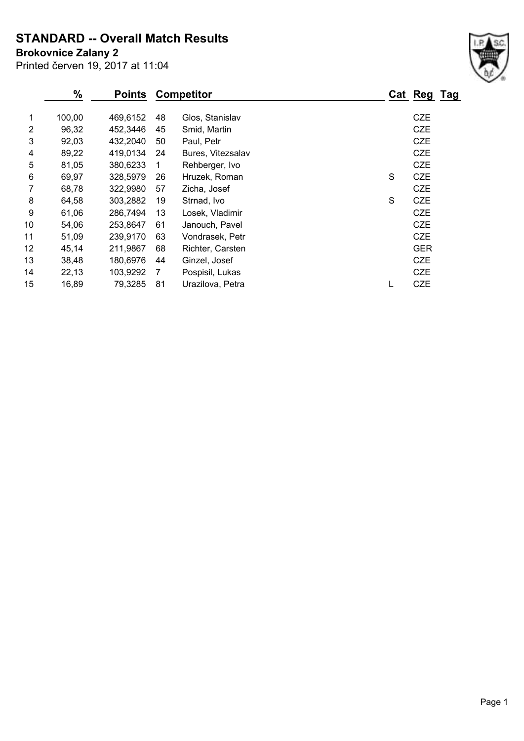**STANDARD -- Overall Match Results**

Printed červen 19, 2017 at 11:04 **Brokovnice Zalany 2**

|    | %      | <b>Points</b> |                | <b>Competitor</b> |   | Cat Reg Tag |  |
|----|--------|---------------|----------------|-------------------|---|-------------|--|
| 1  | 100,00 | 469,6152      | 48             | Glos, Stanislav   |   | <b>CZE</b>  |  |
| 2  | 96,32  | 452,3446      | 45             | Smid, Martin      |   | <b>CZE</b>  |  |
| 3  | 92,03  | 432,2040      | 50             | Paul, Petr        |   | <b>CZE</b>  |  |
| 4  | 89,22  | 419,0134      | 24             | Bures, Vitezsalav |   | <b>CZE</b>  |  |
| 5  | 81,05  | 380,6233      | 1              | Rehberger, Ivo    |   | <b>CZE</b>  |  |
| 6  | 69,97  | 328,5979      | 26             | Hruzek, Roman     | S | <b>CZE</b>  |  |
| 7  | 68,78  | 322,9980      | 57             | Zicha, Josef      |   | <b>CZE</b>  |  |
| 8  | 64,58  | 303,2882      | 19             | Strnad, Ivo       | S | <b>CZE</b>  |  |
| 9  | 61,06  | 286,7494      | 13             | Losek, Vladimir   |   | <b>CZE</b>  |  |
| 10 | 54,06  | 253,8647      | 61             | Janouch, Pavel    |   | <b>CZE</b>  |  |
| 11 | 51,09  | 239,9170      | 63             | Vondrasek, Petr   |   | <b>CZE</b>  |  |
| 12 | 45,14  | 211,9867      | 68             | Richter, Carsten  |   | <b>GER</b>  |  |
| 13 | 38,48  | 180,6976      | 44             | Ginzel, Josef     |   | <b>CZE</b>  |  |
| 14 | 22,13  | 103,9292      | $\overline{7}$ | Pospisil, Lukas   |   | <b>CZE</b>  |  |
| 15 | 16,89  | 79,3285       | 81             | Urazilova, Petra  |   | <b>CZE</b>  |  |
|    |        |               |                |                   |   |             |  |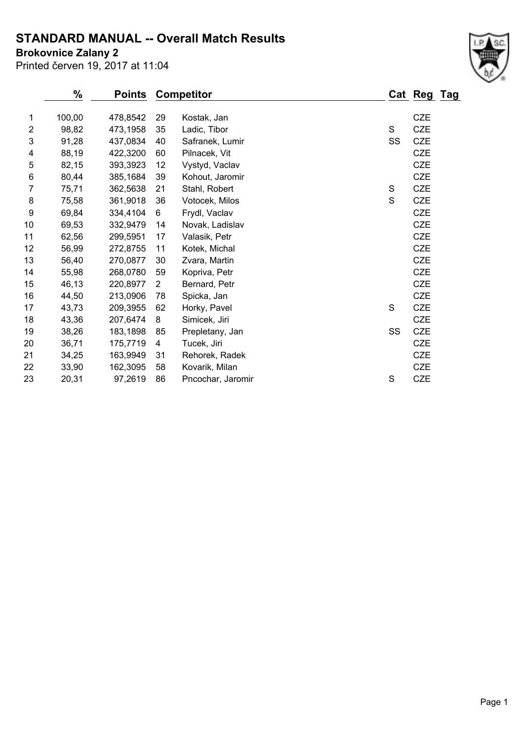## **STANDARD MANUAL -- Overall Match Results**

**Brokovnice Zalany 2**

Printed červen 19, 2017 at 11:04

|                | %      | <b>Points</b> |                | <b>Competitor</b> |             | Cat Reg Tag |  |
|----------------|--------|---------------|----------------|-------------------|-------------|-------------|--|
|                |        |               |                |                   |             |             |  |
| 1              | 100,00 | 478,8542      | 29             | Kostak, Jan       |             | <b>CZE</b>  |  |
| $\overline{2}$ | 98,82  | 473,1958      | 35             | Ladic, Tibor      | $\mathbf S$ | <b>CZE</b>  |  |
| 3              | 91,28  | 437,0834      | 40             | Safranek, Lumir   | SS          | <b>CZE</b>  |  |
| 4              | 88,19  | 422,3200      | 60             | Pilnacek, Vit     |             | <b>CZE</b>  |  |
| 5              | 82,15  | 393,3923      | 12             | Vystyd, Vaclav    |             | CZE         |  |
| 6              | 80,44  | 385,1684      | 39             | Kohout, Jaromir   |             | CZE         |  |
| 7              | 75,71  | 362,5638      | 21             | Stahl, Robert     | $\mathbf S$ | CZE         |  |
| 8              | 75,58  | 361,9018      | 36             | Votocek, Milos    | S           | CZE         |  |
| 9              | 69,84  | 334,4104      | 6              | Frydl, Vaclav     |             | <b>CZE</b>  |  |
| 10             | 69,53  | 332,9479      | 14             | Novak, Ladislav   |             | <b>CZE</b>  |  |
| 11             | 62,56  | 299,5951      | 17             | Valasik, Petr     |             | <b>CZE</b>  |  |
| 12             | 56,99  | 272,8755      | 11             | Kotek, Michal     |             | <b>CZE</b>  |  |
| 13             | 56,40  | 270,0877      | 30             | Zvara, Martin     |             | <b>CZE</b>  |  |
| 14             | 55,98  | 268,0780      | 59             | Kopriva, Petr     |             | CZE         |  |
| 15             | 46,13  | 220,8977      | $\overline{2}$ | Bernard, Petr     |             | <b>CZE</b>  |  |
| 16             | 44,50  | 213,0906      | 78             | Spicka, Jan       |             | <b>CZE</b>  |  |
| 17             | 43,73  | 209,3955      | 62             | Horky, Pavel      | $\mathbf S$ | <b>CZE</b>  |  |
| 18             | 43,36  | 207,6474      | 8              | Simicek, Jiri     |             | CZE         |  |
| 19             | 38,26  | 183,1898      | 85             | Prepletany, Jan   | SS          | CZE         |  |
| 20             | 36,71  | 175,7719      | 4              | Tucek, Jiri       |             | <b>CZE</b>  |  |
| 21             | 34,25  | 163,9949      | 31             | Rehorek, Radek    |             | <b>CZE</b>  |  |
| 22             | 33,90  | 162,3095      | 58             | Kovarik, Milan    |             | <b>CZE</b>  |  |
| 23             | 20,31  | 97,2619       | 86             | Pncochar, Jaromir | S           | <b>CZE</b>  |  |
|                |        |               |                |                   |             |             |  |